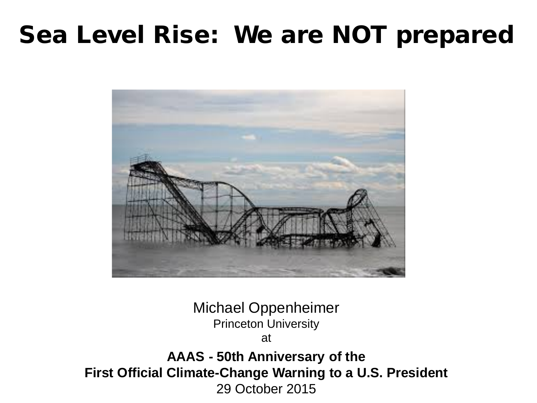#### Sea Level Rise: We are NOT prepared



Michael Oppenheimer Princeton University at **AAAS - 50th Anniversary of the First Official Climate-Change Warning to a U.S. President** 29 October 2015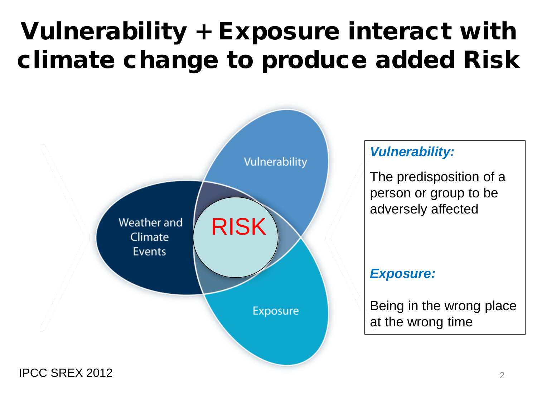### Vulnerability + Exposure interact with climate change to produce added Risk



#### *Vulnerability:*

The predisposition of a person or group to be adversely affected

#### *Exposure:*

Being in the wrong place at the wrong time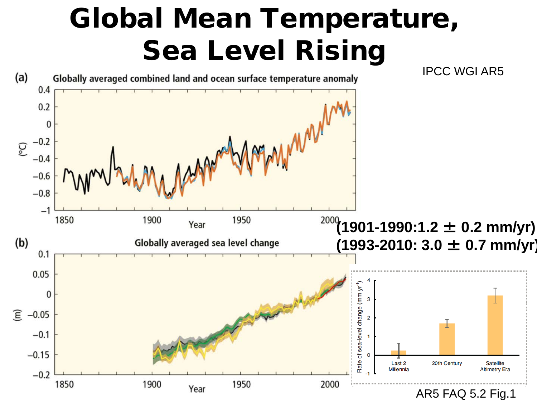### Global Mean Temperature, Sea Level Rising

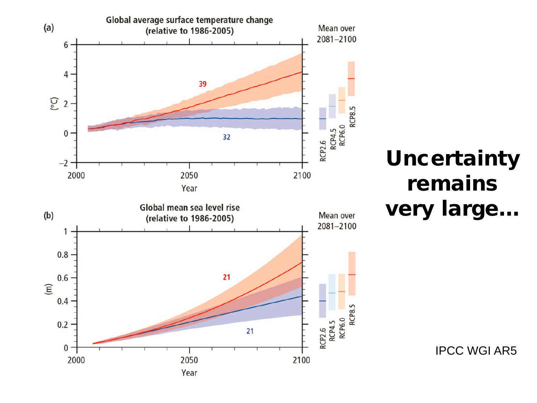

#### **Uncertainty** remains very large…

IPCC WGI AR5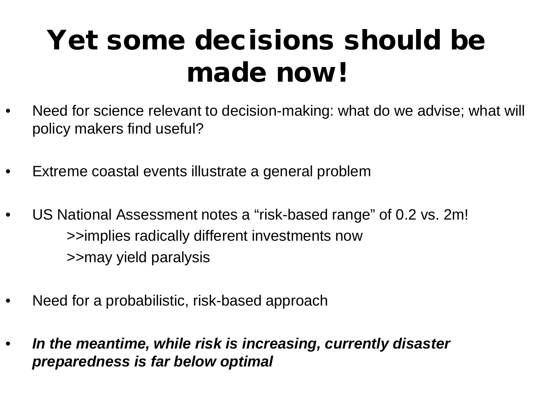### Yet some decisions should be made now!

- Need for science relevant to decision-making: what do we advise; what will policy makers find useful?
- Extreme coastal events illustrate a general problem
- US National Assessment notes a "risk-based range" of 0.2 vs. 2m! >>implies radically different investments now >>may yield paralysis
- Need for a probabilistic, risk-based approach
- *In the meantime, while risk is increasing, currently disaster preparedness is far below optimal*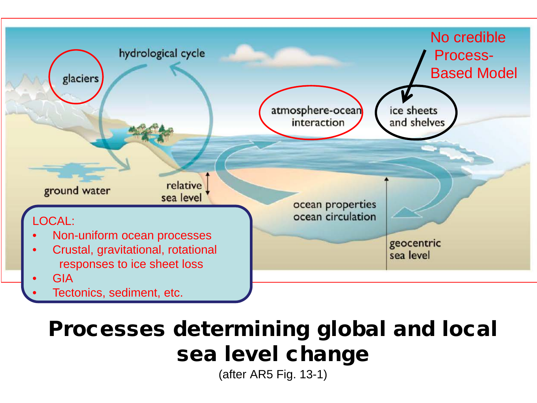

#### Processes determining global and local sea level change

(after AR5 Fig. 13-1)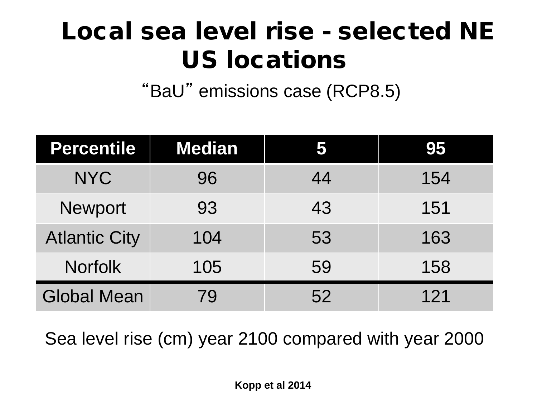#### Local sea level rise - selected NE US locations

"BaU" emissions case (RCP8.5)

| <b>Percentile</b>    | <b>Median</b> |    | 95  |
|----------------------|---------------|----|-----|
| <b>NYC</b>           | 96            | 44 | 154 |
| <b>Newport</b>       | 93            | 43 | 151 |
| <b>Atlantic City</b> | 104           | 53 | 163 |
| <b>Norfolk</b>       | 105           | 59 | 158 |
| <b>Global Mean</b>   | 79            | 52 | 121 |

Sea level rise (cm) year 2100 compared with year 2000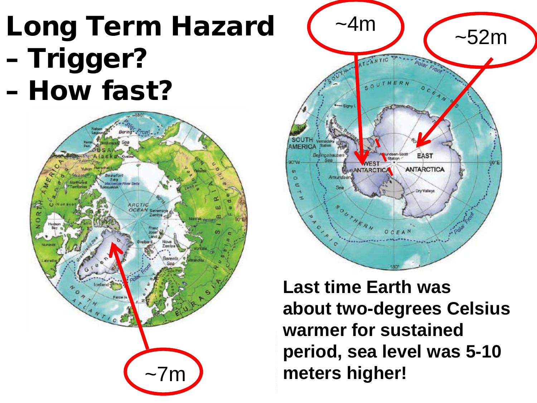# Long Term Hazard (~4m) <- 52m – Trigger? – How fast?





**Last time Earth was about two-degrees Celsius warmer for sustained period, sea level was 5-10 meters higher!**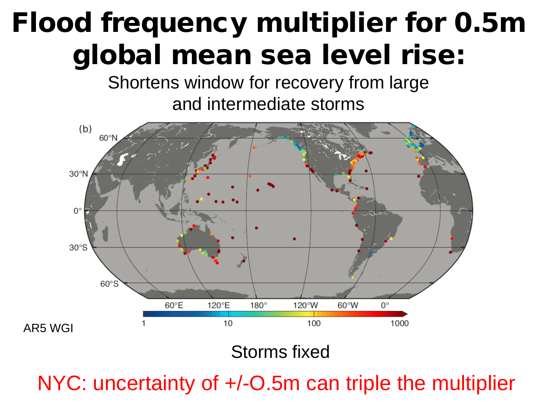# Flood frequency multiplier for 0.5m global mean sea level rise:

Shortens window for recovery from large and intermediate storms



Storms fixed

NYC: uncertainty of  $+/-O.5m$  can triple the multiplier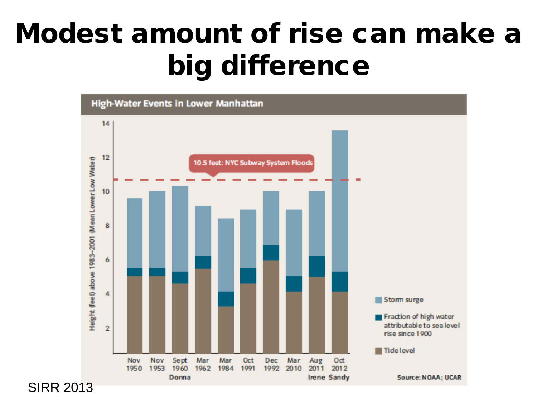# Modest amount of rise can make a big difference



SIRR 2013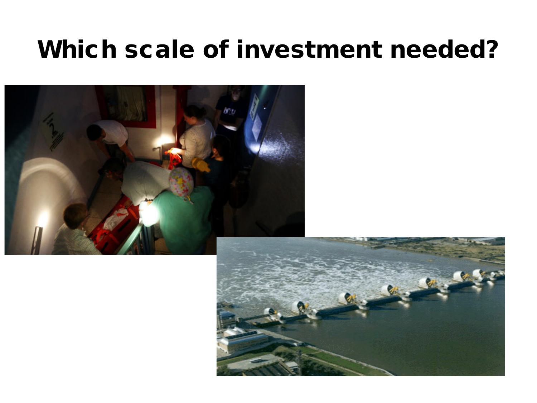#### Which scale of investment needed?



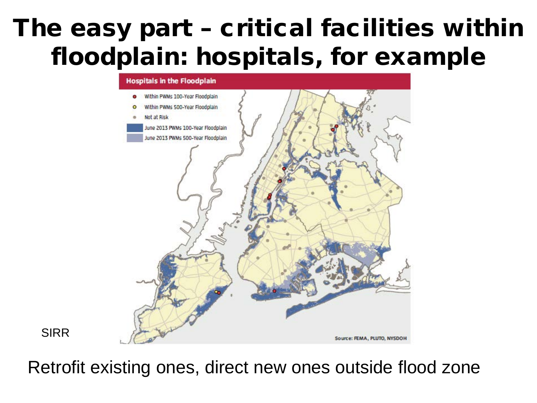#### The easy part – critical facilities within floodplain: hospitals, for example



SIRR

Retrofit existing ones, direct new ones outside flood zone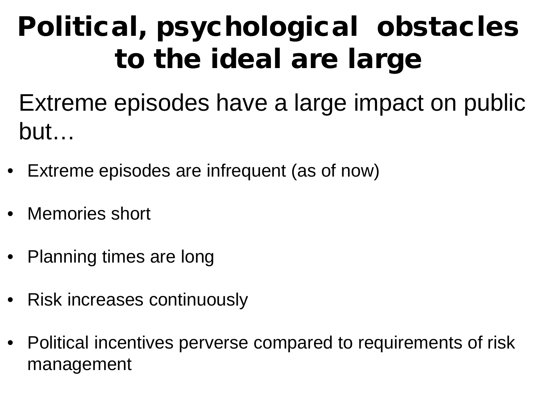# Political, psychological obstacles to the ideal are large

Extreme episodes have a large impact on public but…

- Extreme episodes are infrequent (as of now)
- Memories short
- Planning times are long
- Risk increases continuously
- Political incentives perverse compared to requirements of risk management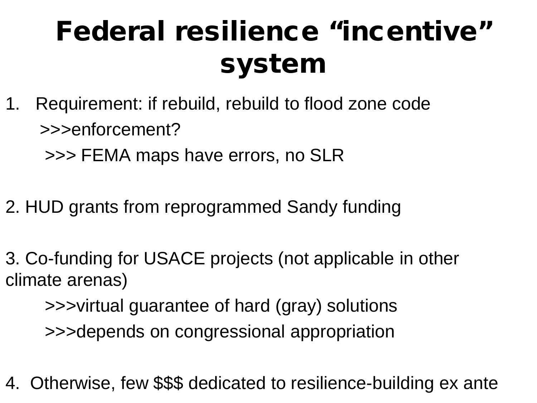# Federal resilience "incentive" system

1. Requirement: if rebuild, rebuild to flood zone code >>>enforcement?

>>> FEMA maps have errors, no SLR

- 2. HUD grants from reprogrammed Sandy funding
- 3. Co-funding for USACE projects (not applicable in other climate arenas)

 >>>virtual guarantee of hard (gray) solutions >>>depends on congressional appropriation

4. Otherwise, few \$\$\$ dedicated to resilience-building ex ante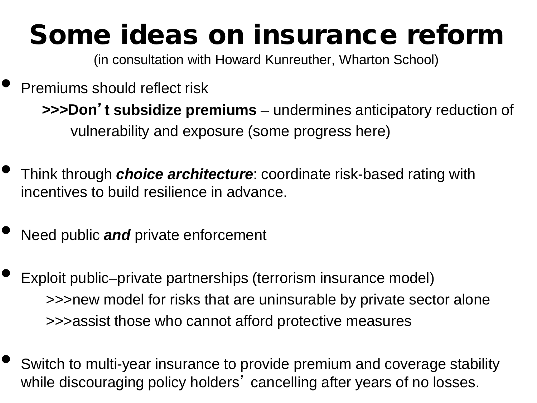# Some ideas on insurance reform

(in consultation with Howard Kunreuther, Wharton School)

#### Premiums should reflect risk  **>>>Don**'**t subsidize premiums** – undermines anticipatory reduction of vulnerability and exposure (some progress here)

- Think through *choice architecture*: coordinate risk-based rating with incentives to build resilience in advance.
- Need public *and* private enforcement
- Exploit public–private partnerships (terrorism insurance model) >>>new model for risks that are uninsurable by private sector alone >>>assist those who cannot afford protective measures
- Switch to multi-year insurance to provide premium and coverage stability while discouraging policy holders' cancelling after years of no losses.